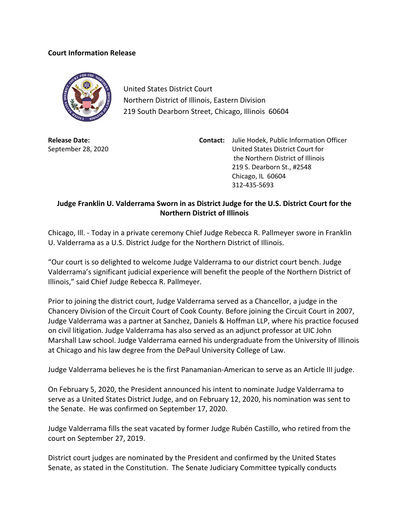## **Court Information Release**



United States District Court Northern District of Illinois, Eastern Division 219 South Dearborn Street, Chicago, Illinois 60604

**Release Date:** September 28, 2020

**Contact:** Julie Hodek, Public Information Officer United States District Court for the Northern District of Illinois 219 S. Dearborn St., #2548 Chicago, IL 60604 312-435-5693

## **Judge Franklin U. Valderrama Sworn in as District Judge for the U.S. District Court for the Northern District of Illinois**

Chicago, Ill. - Today in a private ceremony Chief Judge Rebecca R. Pallmeyer swore in Franklin U. Valderrama as a U.S. District Judge for the Northern District of Illinois.

"Our court is so delighted to welcome Judge Valderrama to our district court bench. Judge Valderrama's significant judicial experience will benefit the people of the Northern District of Illinois," said Chief Judge Rebecca R. Pallmeyer.

Prior to joining the district court, Judge Valderrama served as a Chancellor, a judge in the Chancery Division of the Circuit Court of Cook County. Before joining the Circuit Court in 2007, Judge Valderrama was a partner at Sanchez, Daniels & Hoffman LLP, where his practice focused on civil litigation. Judge Valderrama has also served as an adjunct professor at UIC John Marshall Law school. Judge Valderrama earned his undergraduate from the University of Illinois at Chicago and his law degree from the DePaul University College of Law.

Judge Valderrama believes he is the first Panamanian-American to serve as an Article III judge.

On February 5, 2020, the President announced his intent to nominate Judge Valderrama to serve as a United States District Judge, and on February 12, 2020, his nomination was sent to the Senate. He was confirmed on September 17, 2020.

Judge Valderrama fills the seat vacated by former Judge Rubén Castillo, who retired from the court on September 27, 2019.

District court judges are nominated by the President and confirmed by the United States Senate, as stated in the Constitution. The Senate Judiciary Committee typically conducts